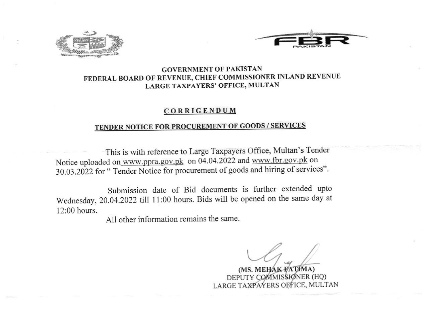



# GOVERNMENT OF PAKISTAN FEDERAL BOARD OF REVENUE, CHIEF COMMISSIONER INLAND REVENUE LARGE TAXPAYERS' OFFICE, MULTAN

## **CORRIGENDUM**

# TENDER NOTICE FOR PROCUREMENT OF GOODS / SERVICES

This is with reference to Large Taxpayers Office, Multan's Tender Notice uploaded on www.ppra.gov.pk on 04.04.2022 and www.fbr.gov.pk on 30.03.2022 for " Tender Notice for procurement of goods and hiring of services".

Submission date of Bid documents is futher extended upto Wednesday, 20.04.2022 tilt 11:00 hours. Bids will be opened on the same day at  $12:00$  hours.

All other information remains the same.

 $\cup\ell$ 

(MS. MEHAK-FATIMA) DEPUTY COMMIS**SIØ**NER (HQ) LARGE TAXPAYERS OF FICE, MULTAN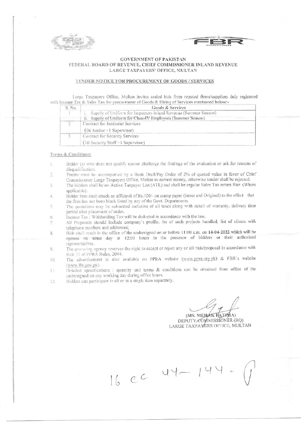

### **GOVERNMENT OF PAKISTAN** FEDERAL BOARD OF REVENUE, CHIEF COMMISSIONER INLAND REVENUE LARGE TAXPAYERS' OFFICE, MULTAN

### TENDER NOTICE FOR PROCUREMENT OF GOODS / SERVICES

Large Taxpayers Office, Multan invites sealed bids from reputed firms/suppliers duly registered with Income Tax & Sales Tax for procurement of Goods & Hiring of Services mentioned below:-

| S. No. | Goods & Services                                                   |  |  |  |  |
|--------|--------------------------------------------------------------------|--|--|--|--|
|        | i. Supply of Uniform for Inspectors Inland Revenue (Summer Season) |  |  |  |  |
|        | ii. Supply of Uniform for Class-IV Employees (Summer Season)       |  |  |  |  |
|        | Contract for Janitorial Services                                   |  |  |  |  |
|        | $(06$ Janitor +1 Supervisor)                                       |  |  |  |  |
|        | Contract for Security Services                                     |  |  |  |  |
|        | $(10$ Security Staff +1 Supervisor)                                |  |  |  |  |

### Terms & Conditions:

- Bidder (s) who does not qualify cannot challenge the findings of the evaluation or ask for reasons of  $\mathbbm{1}$ disqualification.
- Tender must be accompanied by a Bank Draft/Pay Order of 2% of quoted value in favor of Chief Commissioner Large Taxpayers Office, Multan as earnest money, otherwise tender shall be rejected.
- The bidders shall be on Active Taxpayer List (ATL) and shall be regular Sales Tax return filer. (Where  $\mathcal{Z}$ applicable).
- Bidder firm shall attach an affidavit of Rs.100/- on stamp paper (latest and Original) to the effect that  $\varDelta$ the firm has not been black listed by any of the Govt. Departments.
- The quotations may be submitted inclusive of all taxes along with detail of warranty, delivery time  $\tilde{\varsigma}$ period after placement of order.
- Income Tax / Withholding Tax will be deducted in accordance with the law.  $\mathcal{E}_\mathcal{R}$  .
- All Proposals should include company's profile, list of such projects handled, list of clients with 7. telephone numbers and addresses;
- Bids shall reach in the office of the undersigned on or before 11:00 a.m. on 14-04-2022 which will be  $8.$ opened on same day at 12:00 hours in the presence of bidders or their authorized representatives.
- The procuring agency reserves the right to accept or reject any or all bids/proposal in accordance with 0. Rule 33 of PPRA Rules, 2004.
- The advertisement is also available on PPRA website (www.ppra.org.pk) & FBR's website IB. (www.fbr.gov.pk).
- Detailed specifications / quantity and terms & conditions can be obtained from office of the  $\mathbb{I}$  . undersigned on any working day during office hours.

16 CC 44-14

Bidders can participate in all or in a single item separately.  $12$ 

(MS. MEHAK RATIVIA) DEPUTY\_COMMISSIONER (HQ) LARGE TAXPAYERS OFFICE, MULTAN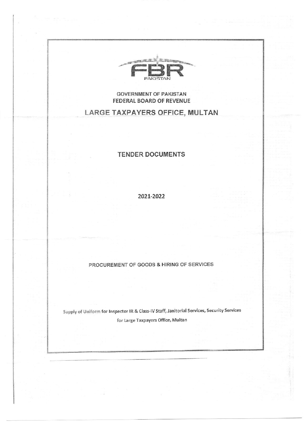

# **GOVERNMENT OF PAKISTAN FEDERAL BOARD OF REVENUE**

# **LARGE TAXPAYERS OFFICE, MULTAN**

# **TENDER DOCUMENTS**

2021-2022

# PROCUREMENT OF GOODS & HIRING OF SERVICES

Supply of Uniform for Inspector IR & Class-IV Staff, Janitorial Services, Security Services for Large Taxpayers Office, Multan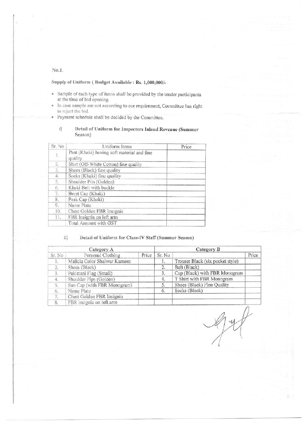# $No.I.$

Supply of Uniform (Budget Available: Rs. 1,000,000/-

- Sample of each type of items shall be provided by the tender participants at the time of bid opening.
- In case sample are not according to our requirement, Committee has right s to reject the bid.
- s Payment schedule shall be decided by the Committee.

#### ij Detail of Uniform for Inspectors Inland Revenue (Summer Season)

| Sr. No.  | Uniform Items                                         | Price |
|----------|-------------------------------------------------------|-------|
|          | Pant (Khaki) having soft material and fine<br>quality |       |
| 2.       | Shirt (Off-White Cotton) fine quality                 |       |
| 3.       | Shoes (Black) fine quality                            |       |
| 4.       | Socks (Khaki) fine quality                            |       |
| 5.       | Shoulder Pits (Golden)                                |       |
| $\alpha$ | Khaki Belt with buckle                                |       |
|          | Beret Cap (Khaki)                                     |       |
| 8.       | Peak Cap (Khaki)                                      |       |
| 9.       | Name Plate                                            |       |
| 10.      | Chest Golden FBR Insignia                             |       |
| 11.      | FBR Insignia on left arm                              |       |
|          | Total Amount with GST                                 |       |

#### Detail of Uniform for Class-IV Staff (Summer Season)  $\{ii\}$

| Category A       |                              |       | Category B       |                                  |       |
|------------------|------------------------------|-------|------------------|----------------------------------|-------|
| Sr. No           | Personal Clothing            | Price | Sr. No           |                                  | Price |
|                  | Malicia Color Shalwar Kameez |       |                  | Trouser Black (six pocket style) |       |
| $\overline{2}$ . | Shoes (Black)                |       | $\overline{2}$ . | Belt (Black)                     |       |
| 3.               | Pakistani Flag (Small)       |       | 3.               | Cap (Black) with FBR Monogram    |       |
| 4.               | Shoulder Pips (Golden)       |       | 4.               | T Shirt with FBR Monogram        |       |
| 5.               | Sun Cap (with FBR Monogram)  |       | 5                | Shoes (Black) Fine Quality       |       |
| 6.               | Name Plate                   |       | 6.               | Socks (Black)                    |       |
|                  | Chest Golden FBR Insignia    |       |                  |                                  |       |
| 8.               | FBR insignia on left arm     |       |                  |                                  |       |

 $\mathcal{A}_{j}$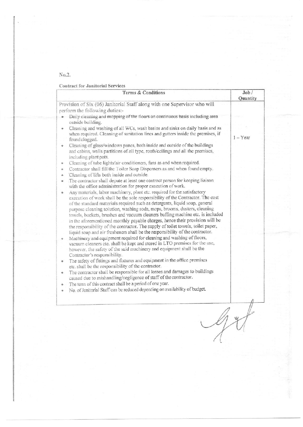# $No.2.$

# **Contract for Janitorial Services**

| Terms & Conditions                                                                                                                                                                                                                                                                                                                                                                                          | Job/<br>Quantity |
|-------------------------------------------------------------------------------------------------------------------------------------------------------------------------------------------------------------------------------------------------------------------------------------------------------------------------------------------------------------------------------------------------------------|------------------|
| Provision of Six (06) Janitorial Staff along with one Supervisor who will                                                                                                                                                                                                                                                                                                                                   |                  |
| perform the following duties:-                                                                                                                                                                                                                                                                                                                                                                              |                  |
| Daily cleaning and mopping of the floors on continuous basis including area<br>outside building.                                                                                                                                                                                                                                                                                                            |                  |
| Cleaning and washing of all WCs, wash basins and sinks on daily basis and as<br>÷<br>when required. Cleaning of sanitation lines and gutters inside the premises, if                                                                                                                                                                                                                                        |                  |
| found clogged.                                                                                                                                                                                                                                                                                                                                                                                              | $1 - Year$       |
| Cleaning of glass/windows panes, both inside and outside of the buildings<br>٠<br>and cabins, walls partitions of all type, roofs/ceilings and all the premises,<br>including plant pots.                                                                                                                                                                                                                   |                  |
| Cleaning of tube lights/air conditioners, fans as and when required.<br>夯                                                                                                                                                                                                                                                                                                                                   |                  |
| Contractor shall fill the Toiler Soap Dispensers as and when found empty.<br>×                                                                                                                                                                                                                                                                                                                              |                  |
| Cleaning of lifts both inside and outside.<br>۰                                                                                                                                                                                                                                                                                                                                                             |                  |
| The contractor shall depute at least one contract person for keeping liaison<br>ø.<br>with the office administration for proper execution of work.                                                                                                                                                                                                                                                          |                  |
| Any materials, labor machinery, plant etc. required for the satisfactory<br>卷<br>execution of work shall be the sole responsibility of the Contractor. The cost<br>of the standard materials required such as detergents, liquid soap, general<br>purpose cleaning solution, washing soda, mops, brooms, dusters, cleaning<br>towels, buckets, brushes and vacuum cleaners buffing machine etc. is included |                  |
| in the aforementioned monthly payable charges, hence their provision will be<br>the responsibility of the contractor. The supply of toilet towels, toilet paper,                                                                                                                                                                                                                                            |                  |
| liquid soap and air fresheners shall be the responsibility of the contractor.                                                                                                                                                                                                                                                                                                                               |                  |
| Machinery and equipment required for cleaning and washing of floors,<br>W.                                                                                                                                                                                                                                                                                                                                  |                  |
| vacuum cleaners etc. shall be kept and stored in LTO premises for the use,<br>however, the safety of the said machinery and equipment shall be the                                                                                                                                                                                                                                                          |                  |
| Contractor's responsibility.<br>The safety of fittings and fixtures and equipment in the office premises<br>$^\circ$                                                                                                                                                                                                                                                                                        |                  |
| etc. shall be the responsibility of the contractor.                                                                                                                                                                                                                                                                                                                                                         |                  |
| The contractor shall be responsible for all losses and damages to buildings<br>¢<br>caused due to mishandling/negligence of staff of the contractor.                                                                                                                                                                                                                                                        |                  |
| The term of this contract shall be a period of one year.<br>۰                                                                                                                                                                                                                                                                                                                                               |                  |
| No. of Janitorial Staff can be reduced depending on availability of budget.<br>÷.                                                                                                                                                                                                                                                                                                                           |                  |
|                                                                                                                                                                                                                                                                                                                                                                                                             |                  |